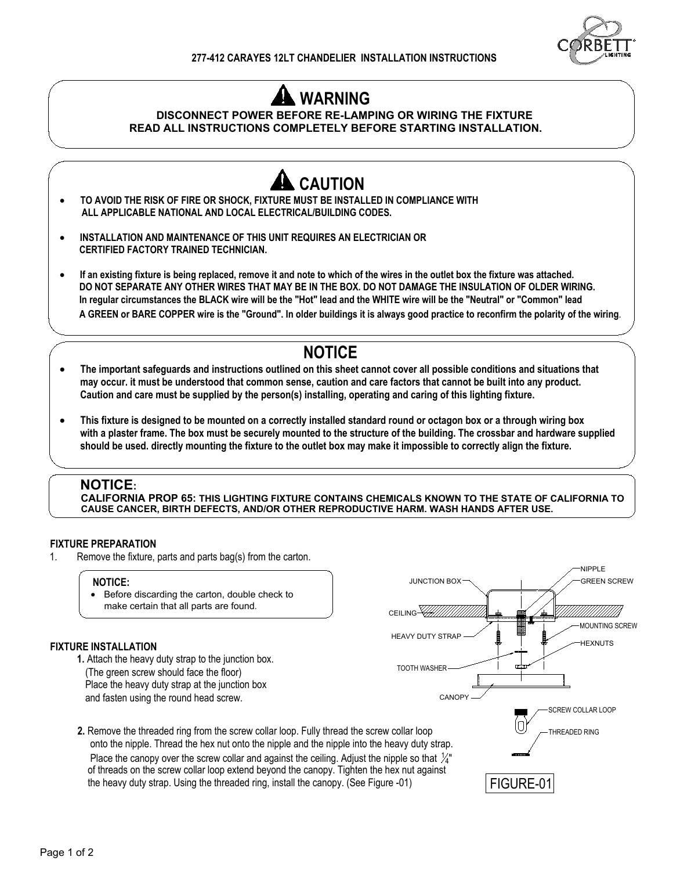

# **WARNING**

### **DISCONNECT POWER BEFORE RE-LAMPING OR WIRING THE FIXTURE READ ALL INSTRUCTIONS COMPLETELY BEFORE STARTING INSTALLATION.**



#### **NOTICE:**

**CALIFORNIA PROP 65: THIS LIGHTING FIXTURE CONTAINS CHEMICALS KNOWN TO THE STATE OF CALIFORNIA TO CAUSE CANCER, BIRTH DEFECTS, AND/OR OTHER REPRODUCTIVE HARM. WASH HANDS AFTER USE.**

#### **FIXTURE PREPARATION**

1. Remove the fixture, parts and parts bag(s) from the carton.

#### **NOTICE:**

· Before discarding the carton, double check to make certain that all parts are found.

#### **FIXTURE INSTALLATION**

**1.** Attach the heavy duty strap to the junction box. (The green screw should face the floor) Place the heavy duty strap at the junction box and fasten using the round head screw.